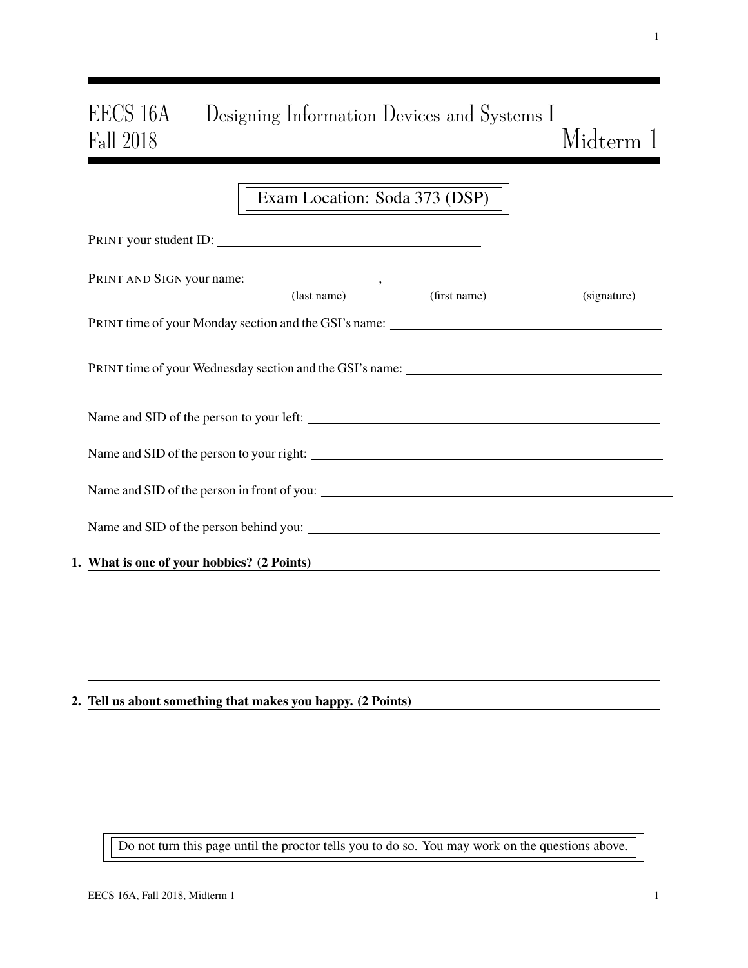# EECS 16A Designing Information Devices and Systems I Midterm 1

|                                            | Exam Location: Soda 373 (DSP) |                          |             |  |  |
|--------------------------------------------|-------------------------------|--------------------------|-------------|--|--|
| PRINT your student ID:                     |                               |                          |             |  |  |
|                                            |                               |                          |             |  |  |
|                                            |                               | (last name) (first name) | (signature) |  |  |
|                                            |                               |                          |             |  |  |
|                                            |                               |                          |             |  |  |
|                                            |                               |                          |             |  |  |
|                                            |                               |                          |             |  |  |
|                                            |                               |                          |             |  |  |
|                                            |                               |                          |             |  |  |
| 1. What is one of your hobbies? (2 Points) |                               |                          |             |  |  |
|                                            |                               |                          |             |  |  |
|                                            |                               |                          |             |  |  |
|                                            |                               |                          |             |  |  |

## 2. Tell us about something that makes you happy. (2 Points)

Do not turn this page until the proctor tells you to do so. You may work on the questions above.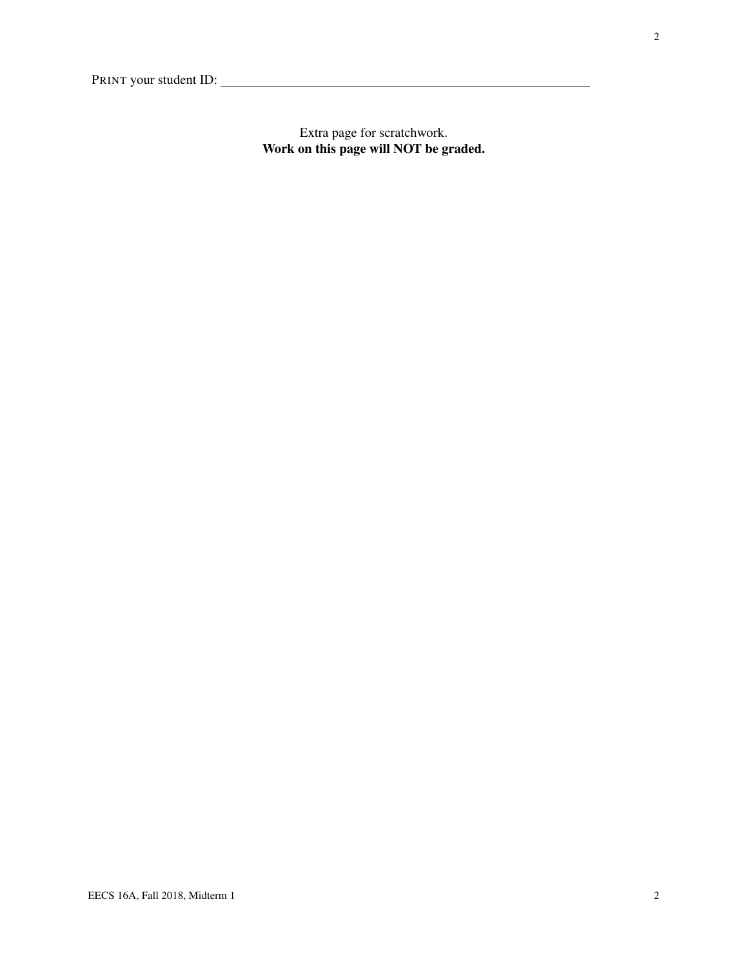Extra page for scratchwork. Work on this page will NOT be graded.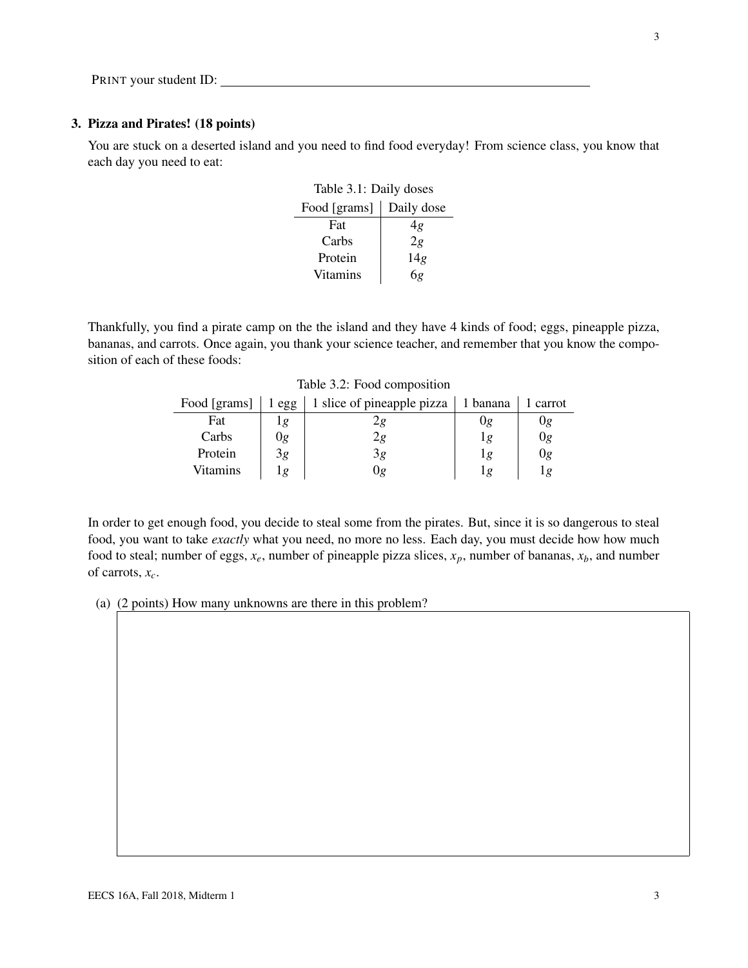## 3. Pizza and Pirates! (18 points)

<span id="page-2-0"></span>You are stuck on a deserted island and you need to find food everyday! From science class, you know that each day you need to eat:

| Table 3.1: Daily doses     |     |  |  |
|----------------------------|-----|--|--|
| Food [grams]<br>Daily dose |     |  |  |
| Fat                        | 4g  |  |  |
| Carbs                      | 2g  |  |  |
| Protein                    | 14g |  |  |
| <b>Vitamins</b>            | 6g  |  |  |

<span id="page-2-1"></span>Thankfully, you find a pirate camp on the the island and they have 4 kinds of food; eggs, pineapple pizza, bananas, and carrots. Once again, you thank your science teacher, and remember that you know the composition of each of these foods:

|  |  | Table 3.2: Food composition |
|--|--|-----------------------------|
|--|--|-----------------------------|

| Food [grams] | egg | 1 slice of pineapple pizza | 1 banana | 1 carrot |
|--------------|-----|----------------------------|----------|----------|
| Fat          | ıg  |                            | Jg       | Ug       |
| Carbs        | 0g  | 2g                         | ıg       | 0g       |
| Protein      | 3g  | 3g                         | 1g       | Оg       |
| Vitamins     | ιg  | Jø                         | 10       | 1 g      |

In order to get enough food, you decide to steal some from the pirates. But, since it is so dangerous to steal food, you want to take *exactly* what you need, no more no less. Each day, you must decide how how much food to steal; number of eggs,  $x_e$ , number of pineapple pizza slices,  $x_p$ , number of bananas,  $x_b$ , and number of carrots, *xc*.

(a) (2 points) How many unknowns are there in this problem?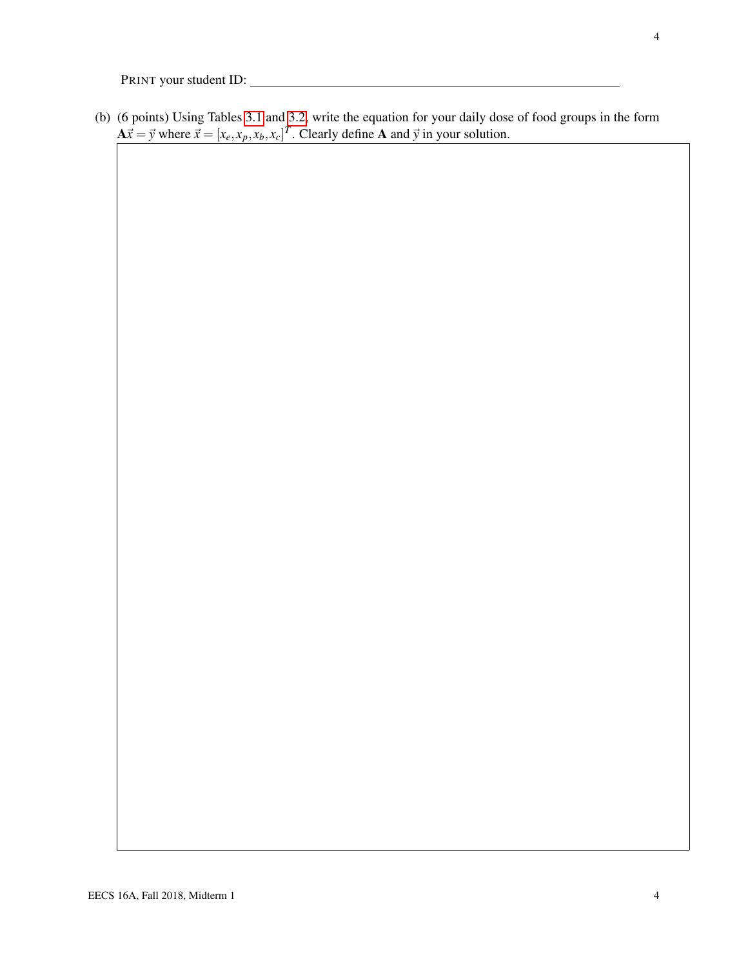(b) (6 points) Using Tables [3.1](#page-2-0) and [3.2,](#page-2-1) write the equation for your daily dose of food groups in the form  $A\vec{x} = \vec{y}$  where  $\vec{x} = [x_e, x_p, x_b, x_c]^T$ . Clearly define A and  $\vec{y}$  in your solution.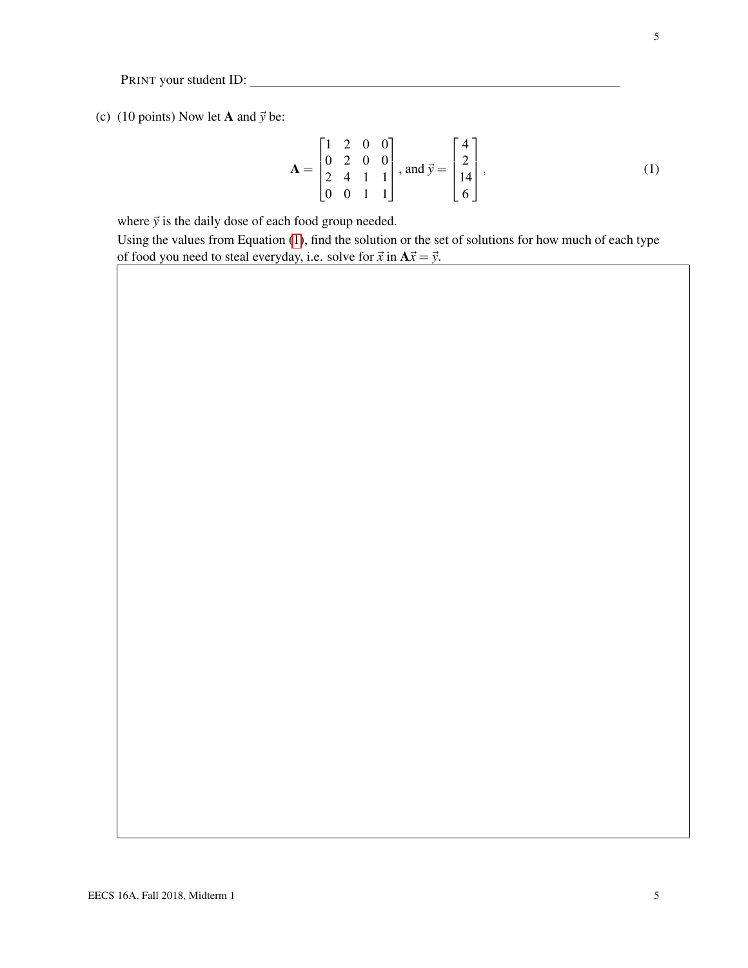(c) (10 points) Now let **A** and  $\vec{y}$  be:

<span id="page-4-0"></span>
$$
\mathbf{A} = \begin{bmatrix} 1 & 2 & 0 & 0 \\ 0 & 2 & 0 & 0 \\ 2 & 4 & 1 & 1 \\ 0 & 0 & 1 & 1 \end{bmatrix}, \text{ and } \vec{y} = \begin{bmatrix} 4 \\ 2 \\ 14 \\ 6 \end{bmatrix},
$$
 (1)

where  $\vec{y}$  is the daily dose of each food group needed.

Using the values from Equation [\(1\)](#page-4-0), find the solution or the set of solutions for how much of each type of food you need to steal everyday, i.e. solve for  $\vec{x}$  in  $A\vec{x} = \vec{y}$ .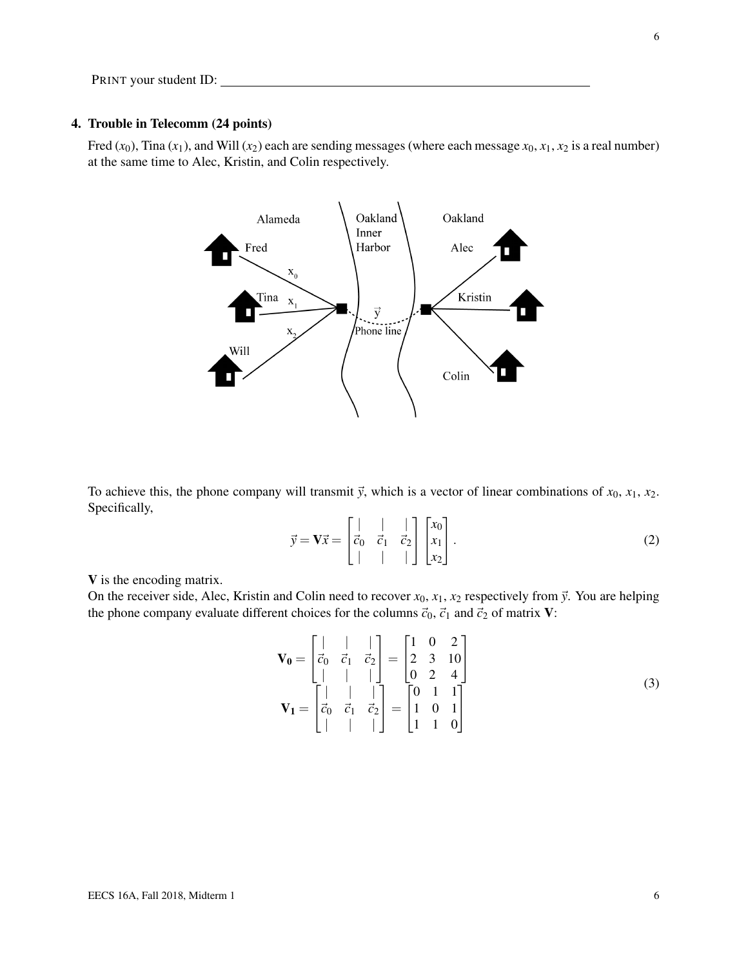## 4. Trouble in Telecomm (24 points)

Fred  $(x_0)$ , Tina  $(x_1)$ , and Will  $(x_2)$  each are sending messages (where each message  $x_0, x_1, x_2$  is a real number) at the same time to Alec, Kristin, and Colin respectively.



To achieve this, the phone company will transmit  $\vec{y}$ , which is a vector of linear combinations of  $x_0, x_1, x_2$ . Specifically,

$$
\vec{y} = \mathbf{V}\vec{x} = \begin{bmatrix} | & | & | \\ \vec{c}_0 & \vec{c}_1 & \vec{c}_2 \\ | & | & | & | \end{bmatrix} \begin{bmatrix} x_0 \\ x_1 \\ x_2 \end{bmatrix} . \tag{2}
$$

V is the encoding matrix.

On the receiver side, Alec, Kristin and Colin need to recover  $x_0$ ,  $x_1$ ,  $x_2$  respectively from  $\vec{y}$ . You are helping the phone company evaluate different choices for the columns  $\vec{c}_0$ ,  $\vec{c}_1$  and  $\vec{c}_2$  of matrix **V**:

$$
\mathbf{V_0} = \begin{bmatrix} | & | & | \\ \vec{c}_0 & \vec{c}_1 & \vec{c}_2 \\ | & | & | & | \\ \vec{c}_0 & \vec{c}_1 & \vec{c}_2 \end{bmatrix} = \begin{bmatrix} 1 & 0 & 2 \\ 2 & 3 & 10 \\ 0 & 2 & 4 \end{bmatrix}
$$

$$
\mathbf{V_1} = \begin{bmatrix} | & | & | \\ \vec{c}_0 & \vec{c}_1 & \vec{c}_2 \\ | & | & | & | \end{bmatrix} = \begin{bmatrix} 0 & 1 & 1 \\ 1 & 0 & 1 \\ 1 & 1 & 0 \end{bmatrix}
$$
(3)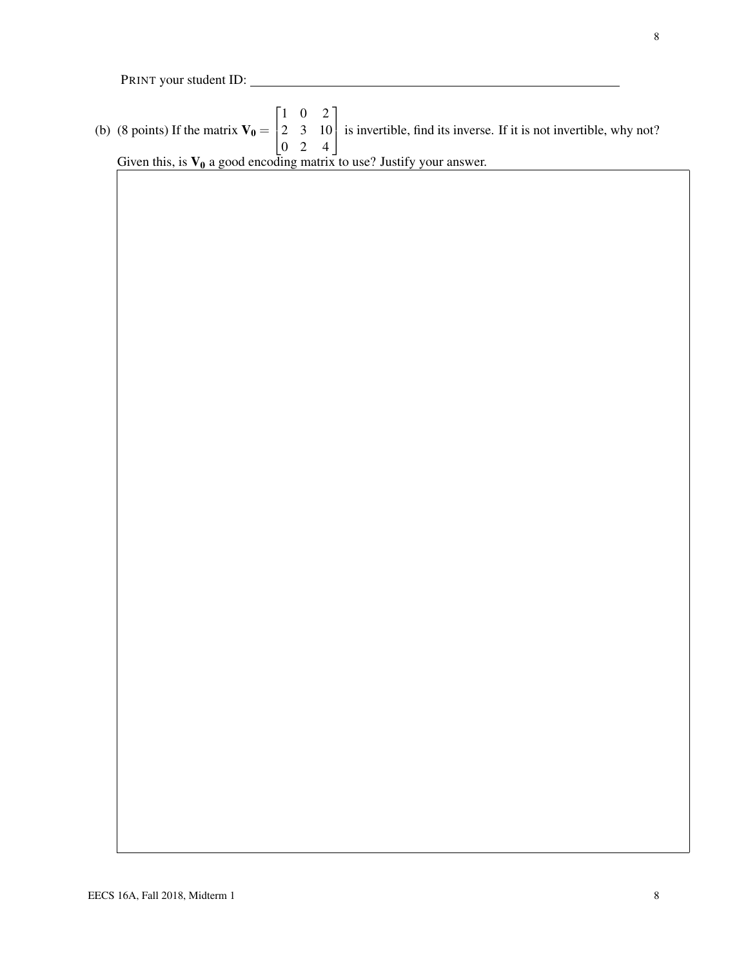(b) (8 points) If the matrix  $V_0 =$  $\sqrt{ }$  $\overline{1}$ 1 0 2 2 3 10 0 2 4 1 is invertible, find its inverse. If it is not invertible, why not? Given this, is  $V_0$  a good encoding matrix to use? Justify your answer.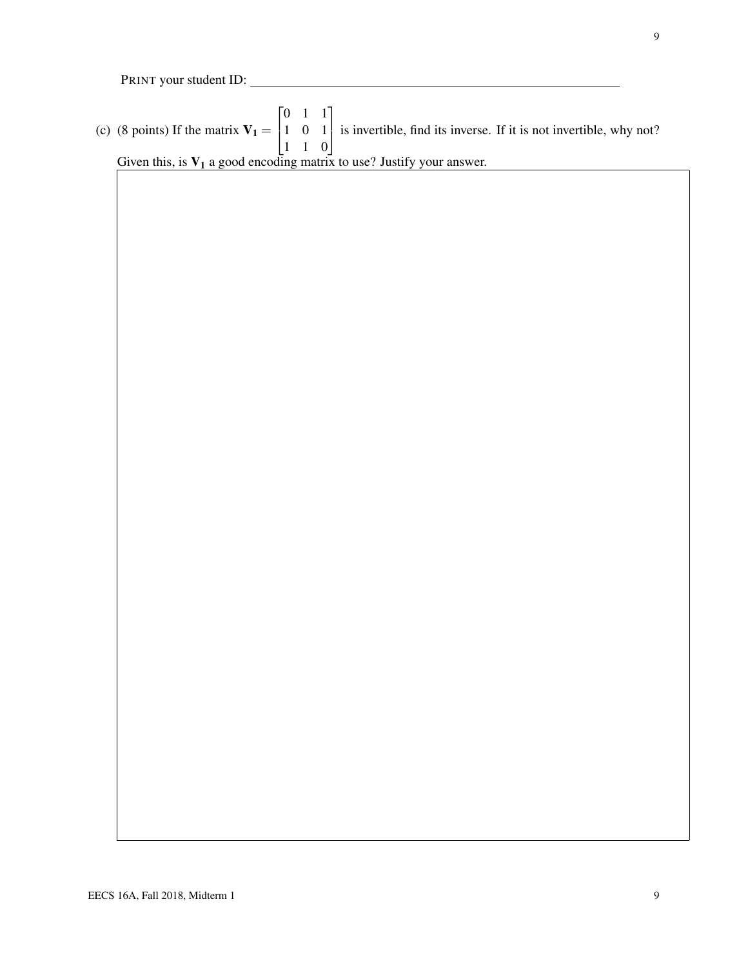(c) (8 points) If the matrix  $V_1 =$  $\sqrt{ }$  $\overline{1}$ 0 1 1 1 0 1 1 1 0 1 is invertible, find its inverse. If it is not invertible, why not? Given this, is  $V_1$  a good encoding matrix to use? Justify your answer.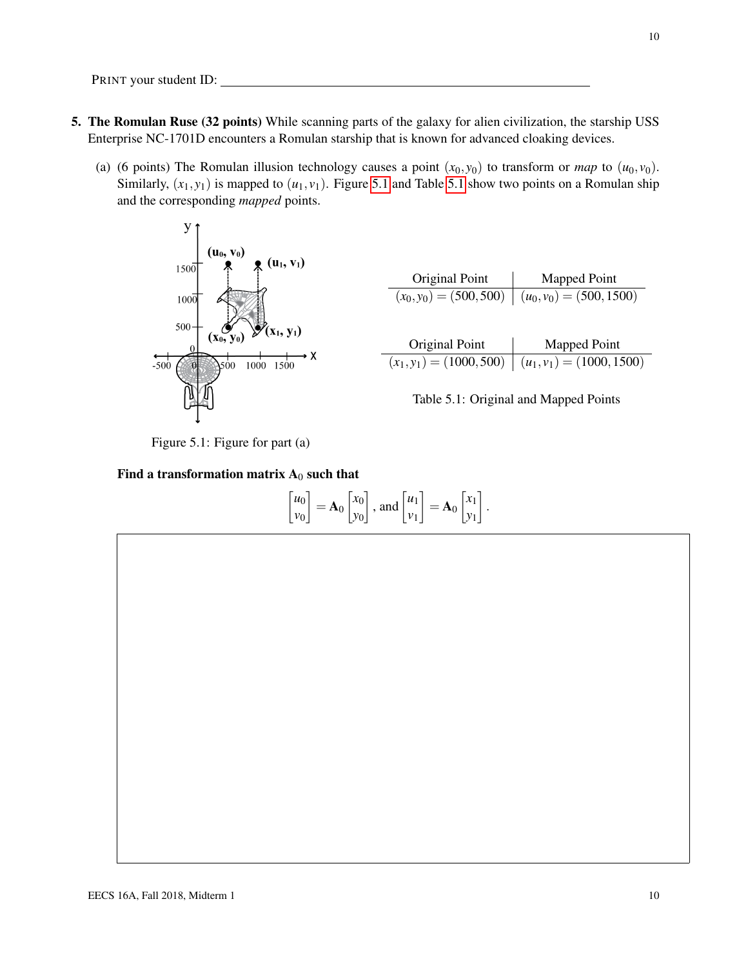- 5. The Romulan Ruse (32 points) While scanning parts of the galaxy for alien civilization, the starship USS Enterprise NC-1701D encounters a Romulan starship that is known for advanced cloaking devices.
	- (a) (6 points) The Romulan illusion technology causes a point  $(x_0, y_0)$  to transform or *map* to  $(u_0, v_0)$ . Similarly,  $(x_1, y_1)$  is mapped to  $(u_1, v_1)$ . Figure [5.1](#page-9-1) and Table 5.1 show two points on a Romulan ship and the corresponding *mapped* points.

<span id="page-9-0"></span>

<span id="page-9-1"></span>

| Original Point | Mapped Point                                            |
|----------------|---------------------------------------------------------|
|                | $(x_0, y_0) = (500, 500) \mid (u_0, v_0) = (500, 1500)$ |
|                |                                                         |
|                |                                                         |
| Original Point | Mapped Point                                            |





#### Find a transformation matrix  $A_0$  such that

$$
\begin{bmatrix} u_0 \\ v_0 \end{bmatrix} = \mathbf{A}_0 \begin{bmatrix} x_0 \\ y_0 \end{bmatrix}, \text{ and } \begin{bmatrix} u_1 \\ v_1 \end{bmatrix} = \mathbf{A}_0 \begin{bmatrix} x_1 \\ y_1 \end{bmatrix}.
$$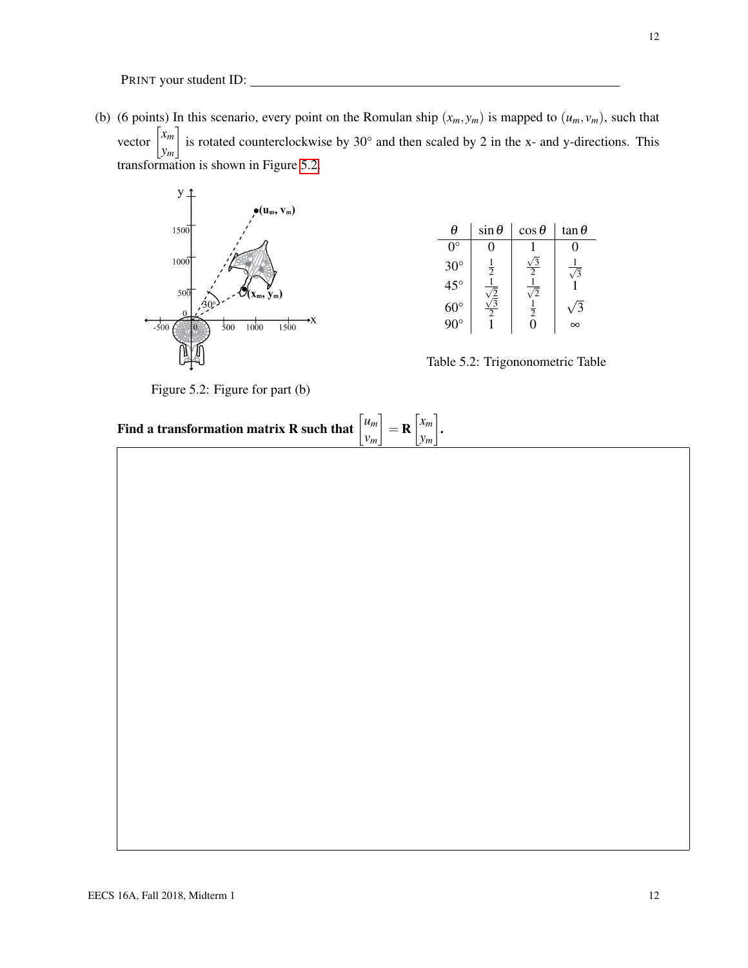(b) (6 points) In this scenario, every point on the Romulan ship  $(x_m, y_m)$  is mapped to  $(u_m, v_m)$ , such that vector *xm ym* is rotated counterclockwise by 30 $^{\circ}$  and then scaled by 2 in the x- and y-directions. This transformation is shown in Figure [5.2.](#page-11-0)

<span id="page-11-0"></span>

Figure 5.2: Figure for part (b)

| θ            | $\sin \theta$ | $\cos \theta$ | $\tan \theta$ |
|--------------|---------------|---------------|---------------|
| $()^\circ$   |               |               |               |
| $30^\circ$   | $\frac{1}{2}$ |               |               |
| $45^{\circ}$ |               |               |               |
| $60^{\circ}$ |               | $\frac{1}{2}$ |               |
|              |               |               |               |

Table 5.2: Trigononometric Table

.

| Find a transformation matrix R such that $\begin{bmatrix} u_m \\ v_m \end{bmatrix} = \mathbf{R} \begin{bmatrix} x_m \\ y_m \end{bmatrix}$ |  |  |
|-------------------------------------------------------------------------------------------------------------------------------------------|--|--|
|                                                                                                                                           |  |  |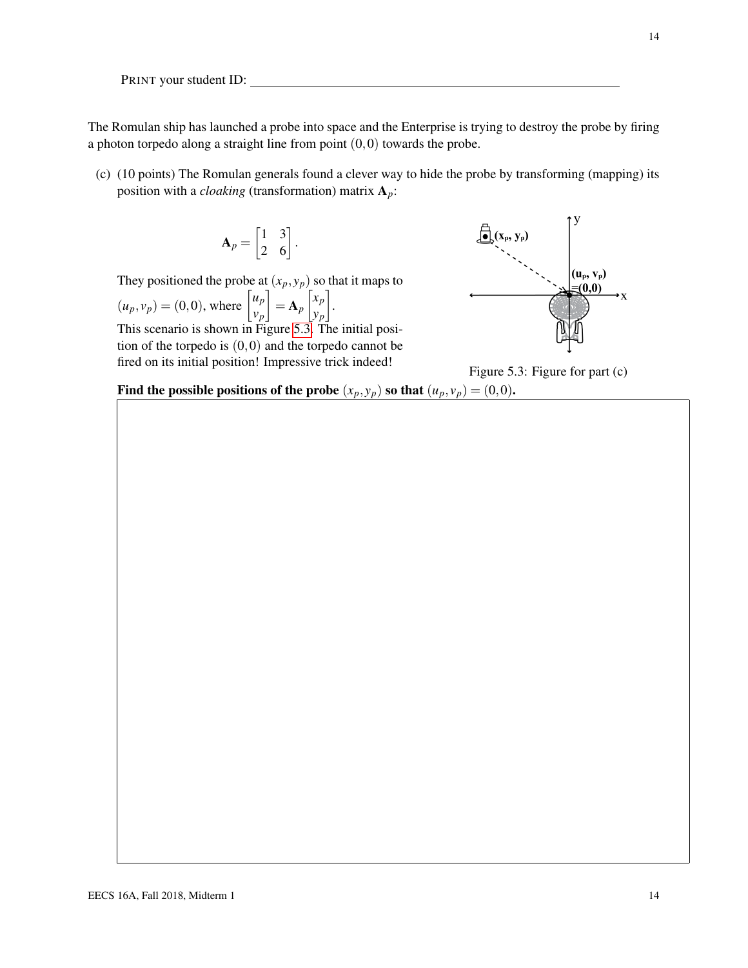The Romulan ship has launched a probe into space and the Enterprise is trying to destroy the probe by firing a photon torpedo along a straight line from point  $(0,0)$  towards the probe.

(c) (10 points) The Romulan generals found a clever way to hide the probe by transforming (mapping) its position with a *cloaking* (transformation) matrix A*p*:

$$
\mathbf{A}_p = \begin{bmatrix} 1 & 3 \\ 2 & 6 \end{bmatrix}.
$$

They positioned the probe at  $(x_p, y_p)$  so that it maps to

$$
(u_p, v_p) = (0, 0)
$$
, where  $\begin{bmatrix} u_p \\ v_p \end{bmatrix} = \mathbf{A}_p \begin{bmatrix} x_p \\ y_p \end{bmatrix}$ .

This scenario is shown in Figure [5.3.](#page-13-0) The initial position of the torpedo is  $(0,0)$  and the torpedo cannot be fired on its initial position! Impressive trick indeed!

<span id="page-13-0"></span>

Figure 5.3: Figure for part (c)

Find the possible positions of the probe  $(x_p, y_p)$  so that  $(u_p, v_p) = (0, 0)$ .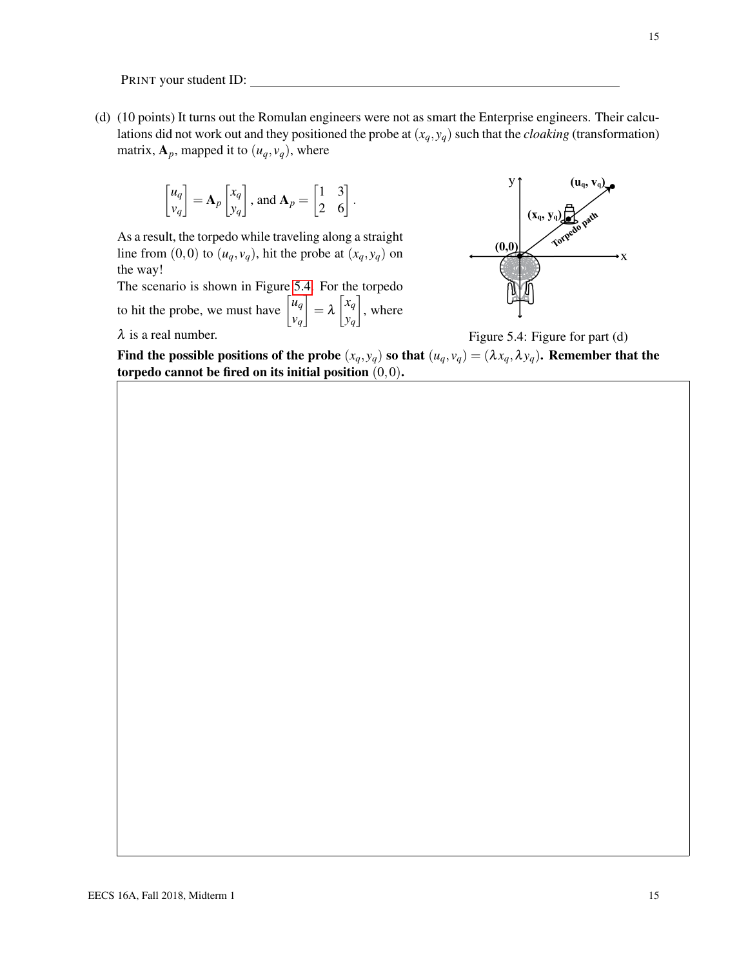(d) (10 points) It turns out the Romulan engineers were not as smart the Enterprise engineers. Their calculations did not work out and they positioned the probe at  $(x_q, y_q)$  such that the *cloaking* (transformation) matrix,  $A_p$ , mapped it to  $(u_q, v_q)$ , where

$$
\begin{bmatrix} u_q \\ v_q \end{bmatrix} = \mathbf{A}_p \begin{bmatrix} x_q \\ y_q \end{bmatrix}, \text{ and } \mathbf{A}_p = \begin{bmatrix} 1 & 3 \\ 2 & 6 \end{bmatrix}.
$$

As a result, the torpedo while traveling along a straight line from  $(0,0)$  to  $(u_q, v_q)$ , hit the probe at  $(x_q, y_q)$  on the way!

The scenario is shown in Figure [5.4.](#page-14-0) For the torpedo to hit the probe, we must have  $\begin{bmatrix} u_q \end{bmatrix}$ *vq*  $\bigg] = \lambda \begin{bmatrix} x_q \end{bmatrix}$ *yq*  $\Big]$ , where  $\lambda$  is a real number.

<span id="page-14-0"></span>

Figure 5.4: Figure for part 
$$
(d)
$$

Find the possible positions of the probe  $(x_q, y_q)$  so that  $(u_q, v_q) = (\lambda x_q, \lambda y_q)$ . Remember that the torpedo cannot be fired on its initial position  $(0,0)$ .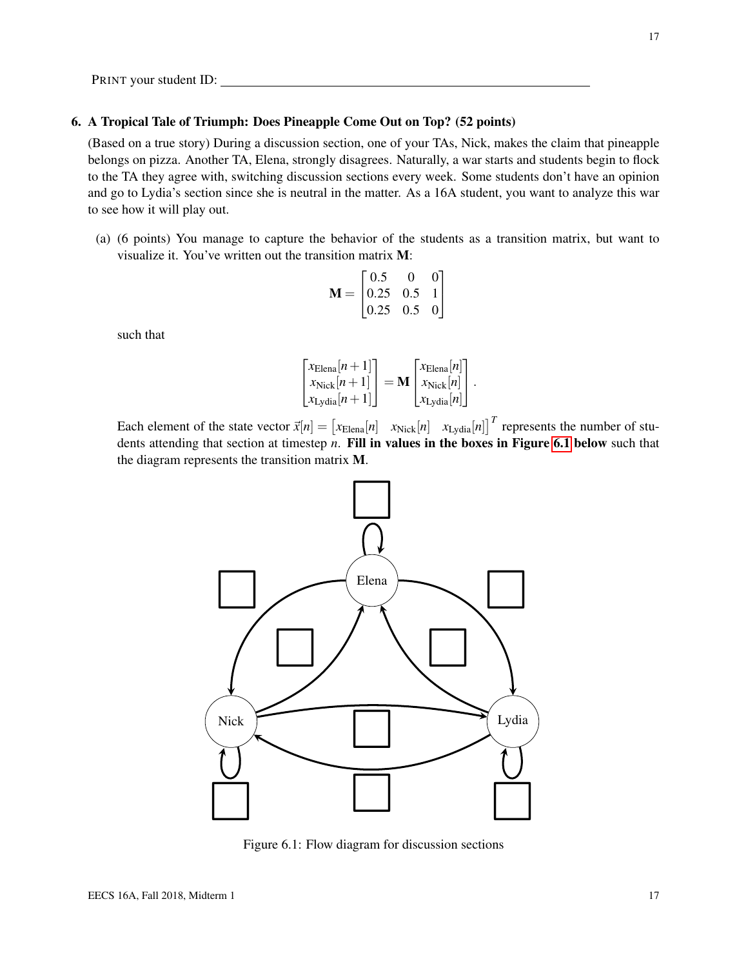#### 6. A Tropical Tale of Triumph: Does Pineapple Come Out on Top? (52 points)

(Based on a true story) During a discussion section, one of your TAs, Nick, makes the claim that pineapple belongs on pizza. Another TA, Elena, strongly disagrees. Naturally, a war starts and students begin to flock to the TA they agree with, switching discussion sections every week. Some students don't have an opinion and go to Lydia's section since she is neutral in the matter. As a 16A student, you want to analyze this war to see how it will play out.

(a) (6 points) You manage to capture the behavior of the students as a transition matrix, but want to visualize it. You've written out the transition matrix M:

$$
\mathbf{M} = \begin{bmatrix} 0.5 & 0 & 0 \\ 0.25 & 0.5 & 1 \\ 0.25 & 0.5 & 0 \end{bmatrix}
$$

such that

$$
\begin{bmatrix} x_{\text{Elena}}[n+1] \\ x_{\text{Nick}}[n+1] \\ x_{\text{Lydia}}[n+1] \end{bmatrix} = \mathbf{M} \begin{bmatrix} x_{\text{Elena}}[n] \\ x_{\text{Nick}}[n] \\ x_{\text{Lydia}}[n] \end{bmatrix}.
$$

<span id="page-16-0"></span>Each element of the state vector  $\vec{x}[n] = \begin{bmatrix} x_{\text{Elena}}[n] & x_{\text{Nick}}[n] & x_{\text{Lydia}}[n] \end{bmatrix}^T$  represents the number of students attending that section at timestep *n*. Fill in values in the boxes in Figure [6.1](#page-16-0) below such that the diagram represents the transition matrix M.



Figure 6.1: Flow diagram for discussion sections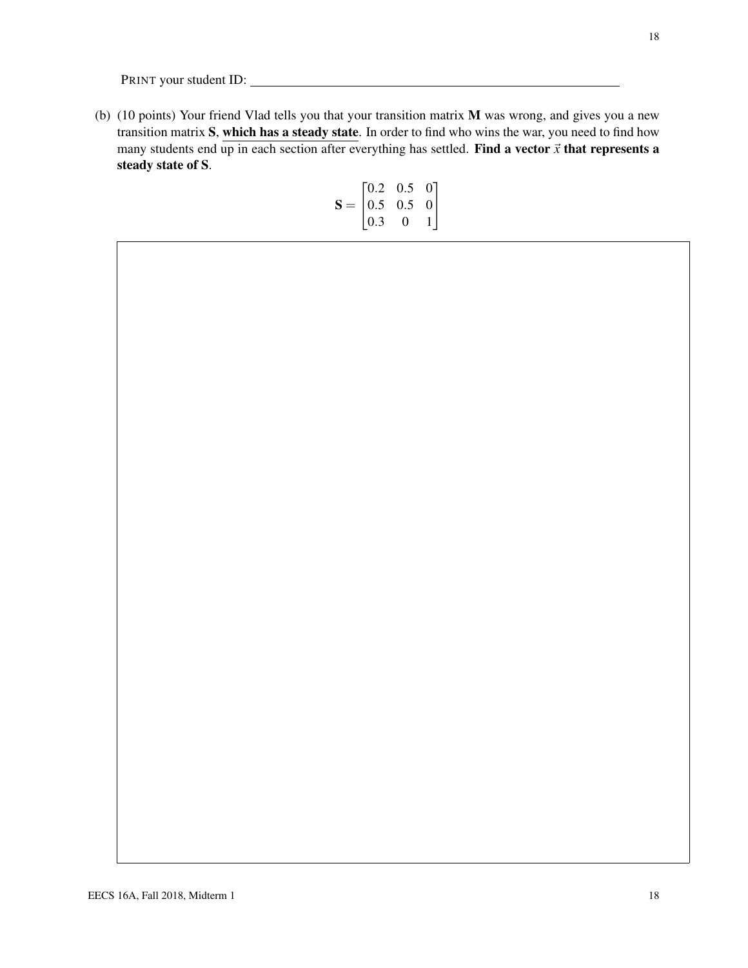(b) (10 points) Your friend Vlad tells you that your transition matrix M was wrong, and gives you a new transition matrix S, which has a steady state. In order to find who wins the war, you need to find how many students end up in each section after everything has settled. Find a vector  $\vec{x}$  that represents a steady state of S.

$$
\mathbf{S} = \begin{bmatrix} 0.2 & 0.5 & 0 \\ 0.5 & 0.5 & 0 \\ 0.3 & 0 & 1 \end{bmatrix}
$$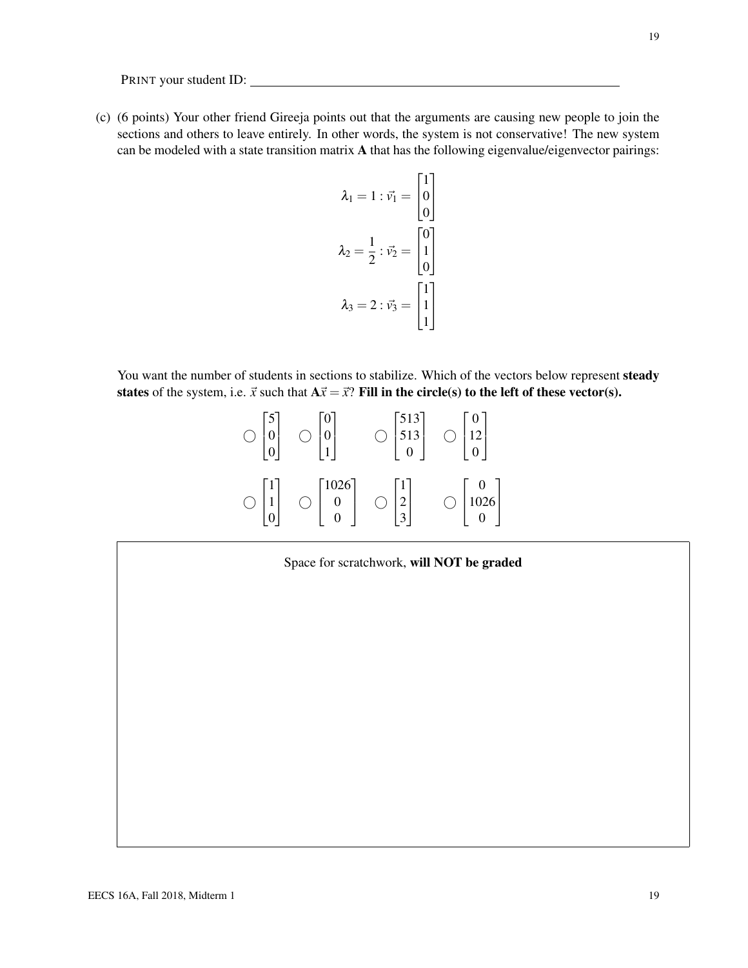(c) (6 points) Your other friend Gireeja points out that the arguments are causing new people to join the sections and others to leave entirely. In other words, the system is not conservative! The new system can be modeled with a state transition matrix A that has the following eigenvalue/eigenvector pairings:

$$
\lambda_1 = 1 : \vec{v}_1 = \begin{bmatrix} 1 \\ 0 \\ 0 \end{bmatrix}
$$

$$
\lambda_2 = \frac{1}{2} : \vec{v}_2 = \begin{bmatrix} 0 \\ 1 \\ 0 \end{bmatrix}
$$

$$
\lambda_3 = 2 : \vec{v}_3 = \begin{bmatrix} 1 \\ 1 \\ 1 \end{bmatrix}
$$

You want the number of students in sections to stabilize. Which of the vectors below represent steady states of the system, i.e.  $\vec{x}$  such that  $A\vec{x} = \vec{x}$ ? Fill in the circle(s) to the left of these vector(s).

| J            |      | 513<br>ر د ر |                 |
|--------------|------|--------------|-----------------|
| $\mathbf{1}$ | 1026 | ∠            | $\binom{0}{10}$ |

Space for scratchwork, will NOT be graded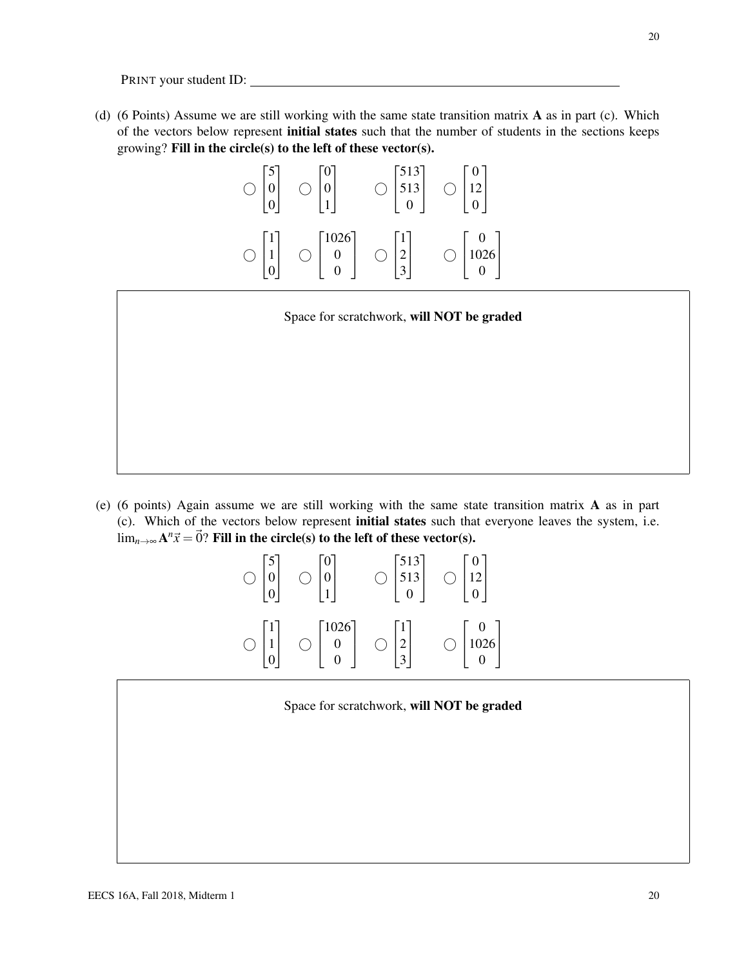(d) (6 Points) Assume we are still working with the same state transition matrix A as in part (c). Which of the vectors below represent initial states such that the number of students in the sections keeps growing? Fill in the circle(s) to the left of these vector(s).

|           | 513<br>512<br>ر د ر | 1 <sub>2</sub>                                                                        |
|-----------|---------------------|---------------------------------------------------------------------------------------|
| 1026<br>С | $\mathbf{I}$        | $\left(\begin{array}{c} \end{array}\right)$<br>$\begin{bmatrix} 0 \\ 0 \end{bmatrix}$ |

Space for scratchwork, will NOT be graded

(e) (6 points) Again assume we are still working with the same state transition matrix A as in part (c). Which of the vectors below represent initial states such that everyone leaves the system, i.e.  $\lim_{n\to\infty} A^n\vec{x} = \vec{0}$ ? Fill in the circle(s) to the left of these vector(s).

| $\mathcal{L}$ | U<br>1    | 513<br>ر در    |            |
|---------------|-----------|----------------|------------|
| $\mathbf{I}$  | 1026<br>0 | $\overline{a}$ | Ι.<br>1020 |

Space for scratchwork, will NOT be graded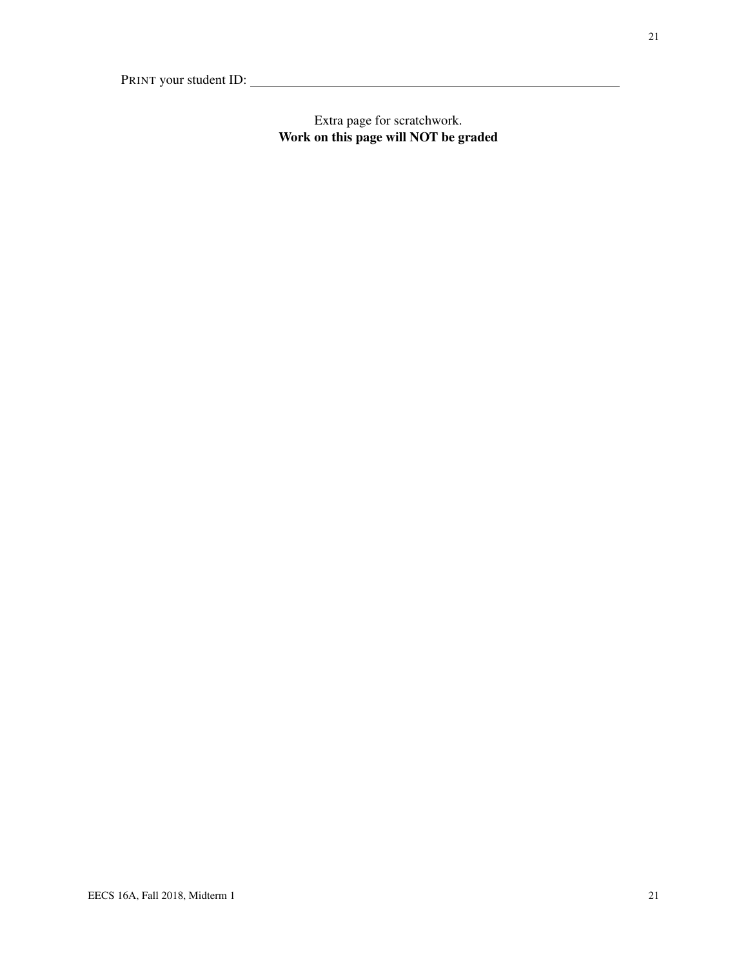## Extra page for scratchwork. Work on this page will NOT be graded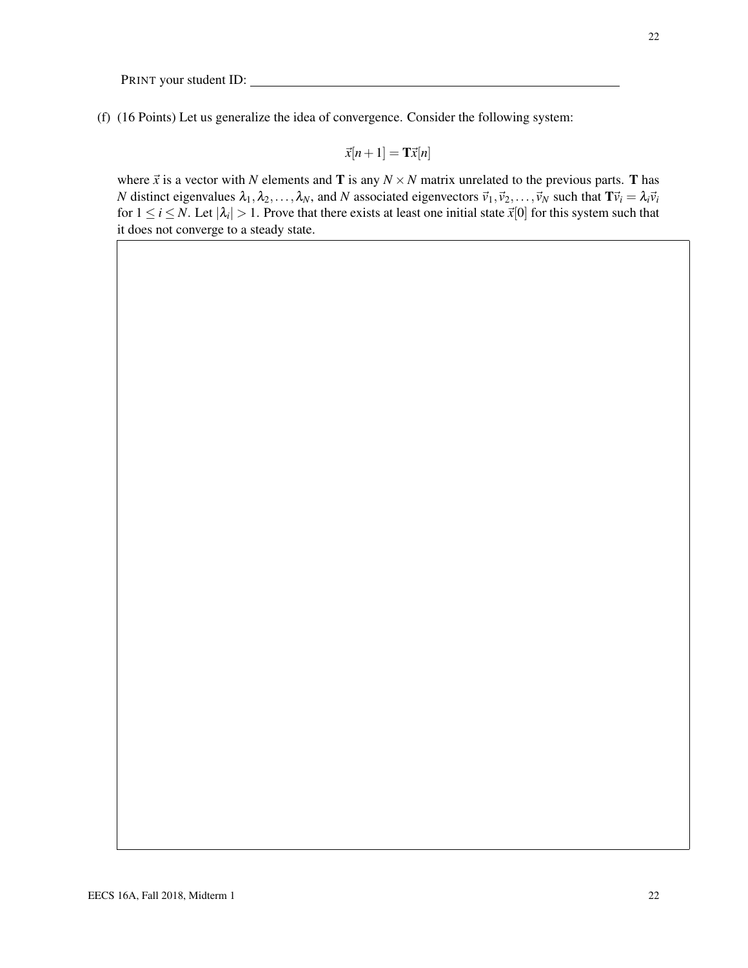(f) (16 Points) Let us generalize the idea of convergence. Consider the following system:

$$
\vec{x}[n+1] = \mathbf{T}\vec{x}[n]
$$

where  $\vec{x}$  is a vector with *N* elements and **T** is any  $N \times N$  matrix unrelated to the previous parts. **T** has *N* distinct eigenvalues  $\lambda_1, \lambda_2, ..., \lambda_N$ , and *N* associated eigenvectors  $\vec{v}_1, \vec{v}_2, ..., \vec{v}_N$  such that  $\mathbf{T}\vec{v}_i = \lambda_i \vec{v}_i$ for  $1 \le i \le N$ . Let  $|\lambda_i| > 1$ . Prove that there exists at least one initial state  $\vec{x}[0]$  for this system such that it does not converge to a steady state.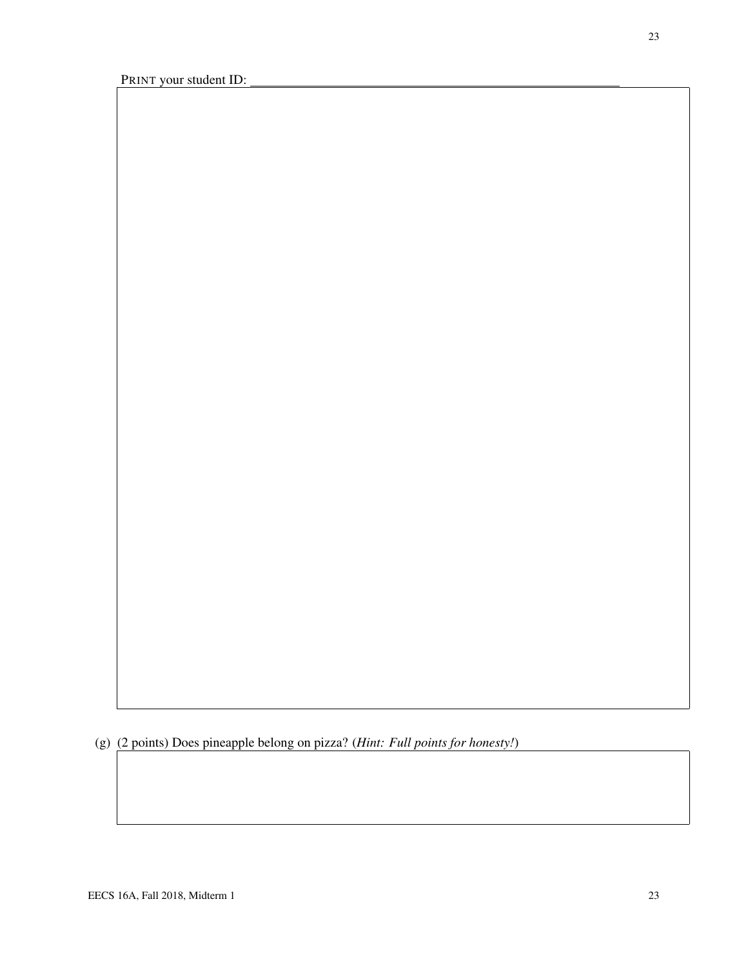(g) (2 points) Does pineapple belong on pizza? (*Hint: Full points for honesty!*)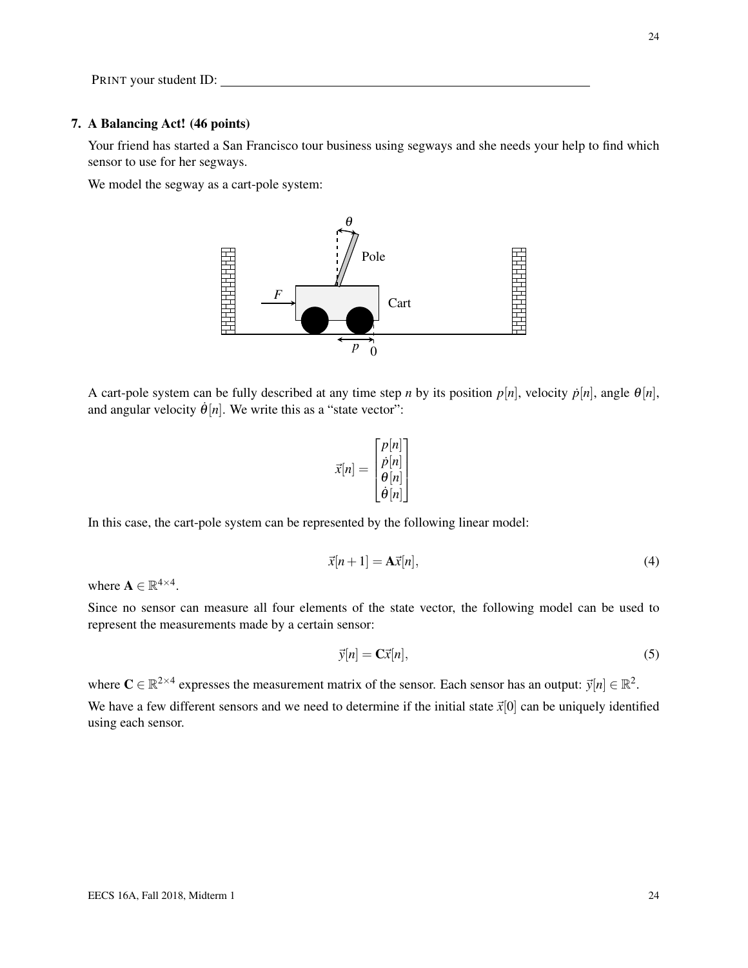#### 7. A Balancing Act! (46 points)

Your friend has started a San Francisco tour business using segways and she needs your help to find which sensor to use for her segways.

We model the segway as a cart-pole system:



A cart-pole system can be fully described at any time step *n* by its position  $p[n]$ , velocity  $\dot{p}[n]$ , angle  $\theta[n]$ , and angular velocity  $\dot{\theta}[n]$ . We write this as a "state vector":

$$
\vec{x}[n] = \begin{bmatrix} p[n] \\ \dot{p}[n] \\ \theta[n] \\ \dot{\theta}[n] \end{bmatrix}
$$

In this case, the cart-pole system can be represented by the following linear model:

$$
\vec{x}[n+1] = \mathbf{A}\vec{x}[n],\tag{4}
$$

where  $\mathbf{A} \in \mathbb{R}^{4 \times 4}$ .

Since no sensor can measure all four elements of the state vector, the following model can be used to represent the measurements made by a certain sensor:

$$
\vec{y}[n] = \mathbf{C}\vec{x}[n],\tag{5}
$$

where  $C \in \mathbb{R}^{2 \times 4}$  expresses the measurement matrix of the sensor. Each sensor has an output:  $\vec{y}[n] \in \mathbb{R}^2$ . We have a few different sensors and we need to determine if the initial state  $\vec{x}[0]$  can be uniquely identified using each sensor.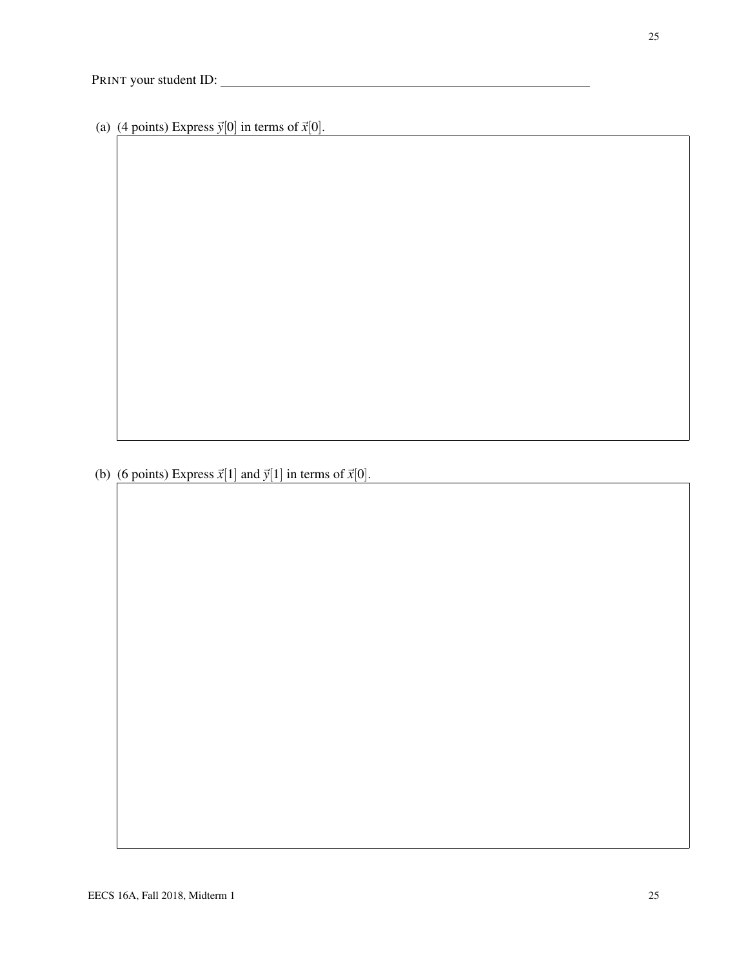(a) (4 points) Express  $\vec{y}[0]$  in terms of  $\vec{x}[0]$ .

(b) (6 points) Express  $\vec{x}[1]$  and  $\vec{y}[1]$  in terms of  $\vec{x}[0]$ .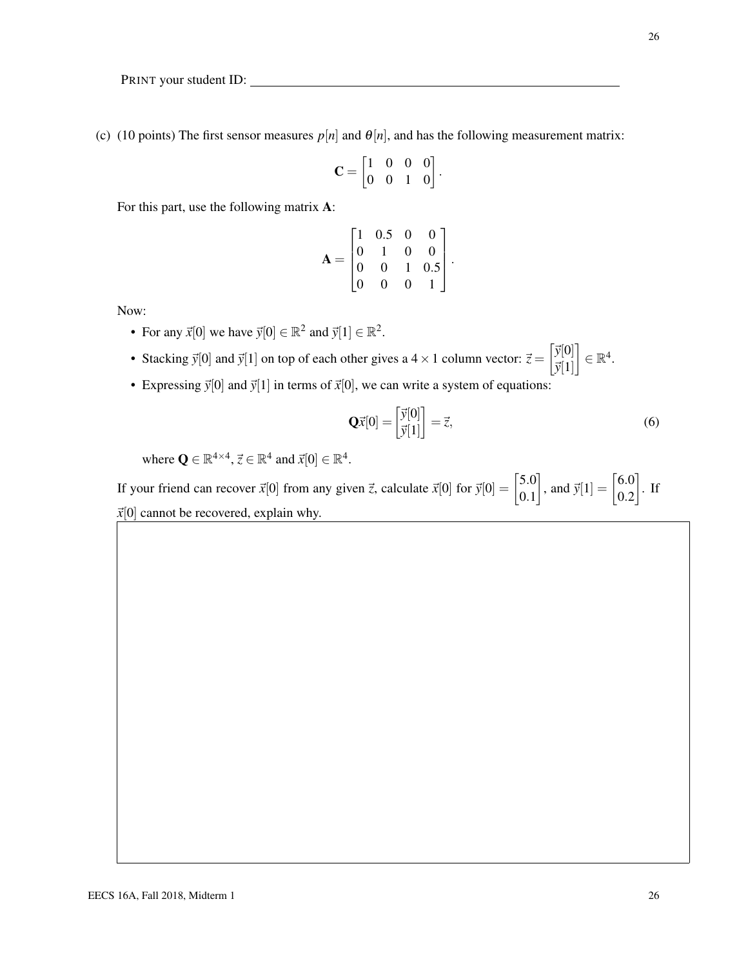(c) (10 points) The first sensor measures  $p[n]$  and  $\theta[n]$ , and has the following measurement matrix:

$$
\mathbf{C} = \begin{bmatrix} 1 & 0 & 0 & 0 \\ 0 & 0 & 1 & 0 \end{bmatrix}.
$$

For this part, use the following matrix A:

$$
\mathbf{A} = \begin{bmatrix} 1 & 0.5 & 0 & 0 \\ 0 & 1 & 0 & 0 \\ 0 & 0 & 1 & 0.5 \\ 0 & 0 & 0 & 1 \end{bmatrix}.
$$

Now:

- For any  $\vec{x}[0]$  we have  $\vec{y}[0] \in \mathbb{R}^2$  and  $\vec{y}[1] \in \mathbb{R}^2$ .
- Stacking  $\vec{y}[0]$  and  $\vec{y}[1]$  on top of each other gives a 4 × 1 column vector:  $\vec{z} = \begin{bmatrix} \vec{y}[0] \\ \vec{y}[1] \end{bmatrix}$  $\vec{y}[1]$  $\Big] \in \mathbb{R}^4.$
- Expressing  $\vec{y}[0]$  and  $\vec{y}[1]$  in terms of  $\vec{x}[0]$ , we can write a system of equations:

$$
\mathbf{Q}\vec{x}[0] = \begin{bmatrix} \vec{y}[0] \\ \vec{y}[1] \end{bmatrix} = \vec{z},\tag{6}
$$

where  $\mathbf{Q} \in \mathbb{R}^{4 \times 4}$ ,  $\vec{z} \in \mathbb{R}^{4}$  and  $\vec{x}[0] \in \mathbb{R}^{4}$ .

If your friend can recover  $\vec{x}[0]$  from any given  $\vec{z}$ , calculate  $\vec{x}[0]$  for  $\vec{y}[0] = \begin{bmatrix} 5.0 \\ 0.1 \end{bmatrix}$ 0.1 , and  $\vec{y}[1] = \begin{bmatrix} 6.0 \\ 0.2 \end{bmatrix}$ 0.2  $\big]$ . If  $\vec{x}[0]$  cannot be recovered, explain why.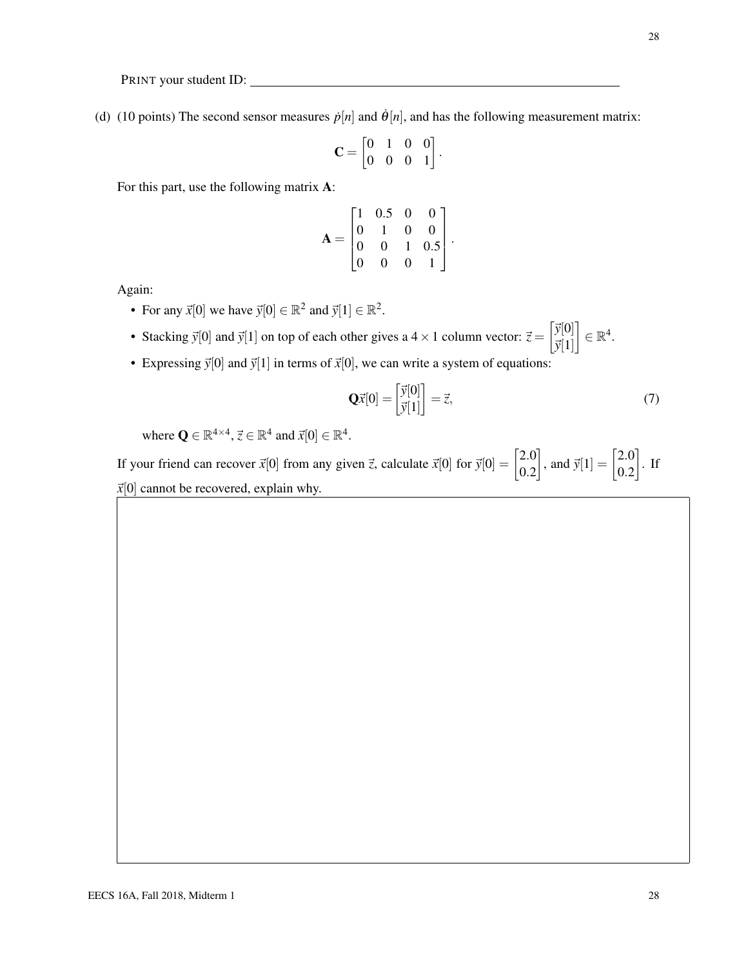(d) (10 points) The second sensor measures  $\dot{p}[n]$  and  $\dot{\theta}[n]$ , and has the following measurement matrix:

$$
\mathbf{C} = \begin{bmatrix} 0 & 1 & 0 & 0 \\ 0 & 0 & 0 & 1 \end{bmatrix}.
$$

For this part, use the following matrix A:

$$
\mathbf{A} = \begin{bmatrix} 1 & 0.5 & 0 & 0 \\ 0 & 1 & 0 & 0 \\ 0 & 0 & 1 & 0.5 \\ 0 & 0 & 0 & 1 \end{bmatrix}
$$

.

Again:

- For any  $\vec{x}[0]$  we have  $\vec{y}[0] \in \mathbb{R}^2$  and  $\vec{y}[1] \in \mathbb{R}^2$ .
- Stacking  $\vec{y}[0]$  and  $\vec{y}[1]$  on top of each other gives a 4 × 1 column vector:  $\vec{z} = \begin{bmatrix} \vec{y}[0] \\ \vec{y}[1] \end{bmatrix}$  $\vec{y}[1]$  $\Big] \in \mathbb{R}^4.$
- Expressing  $\vec{y}[0]$  and  $\vec{y}[1]$  in terms of  $\vec{x}[0]$ , we can write a system of equations:

$$
\mathbf{Q}\vec{x}[0] = \begin{bmatrix} \vec{y}[0] \\ \vec{y}[1] \end{bmatrix} = \vec{z},\tag{7}
$$

where  $\mathbf{Q} \in \mathbb{R}^{4 \times 4}$ ,  $\vec{z} \in \mathbb{R}^4$  and  $\vec{x}[0] \in \mathbb{R}^4$ .

If your friend can recover  $\vec{x}[0]$  from any given  $\vec{z}$ , calculate  $\vec{x}[0]$  for  $\vec{y}[0] = \begin{bmatrix} 2.0 \\ 0.2 \end{bmatrix}$ 0.2 , and  $\vec{y}[1] = \begin{bmatrix} 2.0 \\ 0.2 \end{bmatrix}$ 0.2  $\big]$ . If  $\vec{x}[0]$  cannot be recovered, explain why.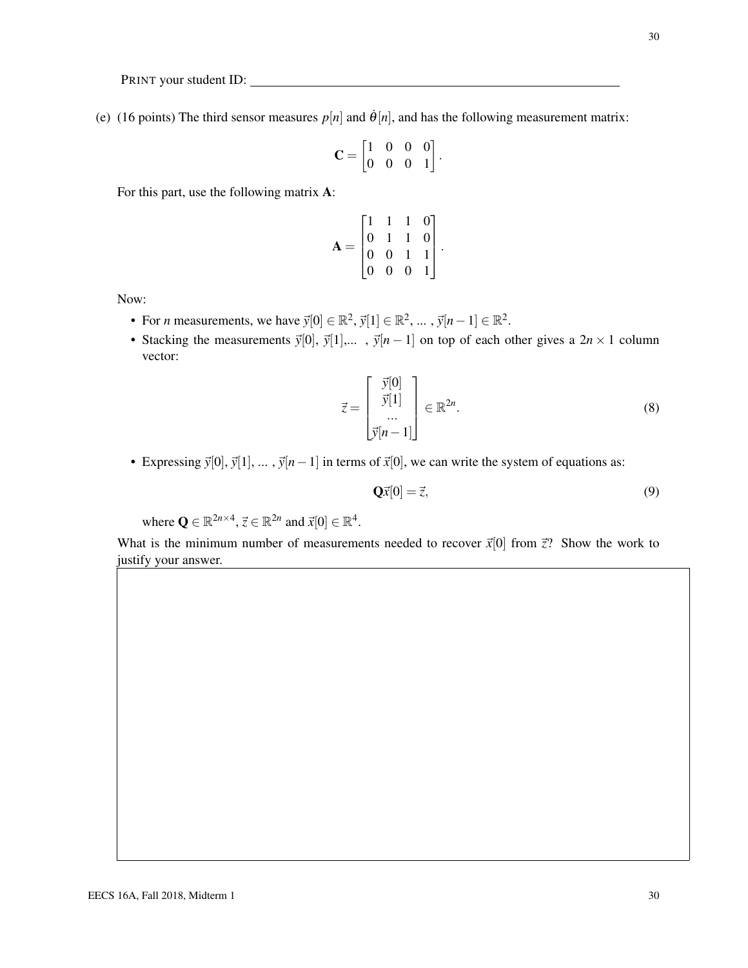30

PRINT your student ID:

(e) (16 points) The third sensor measures  $p[n]$  and  $\dot{\theta}[n]$ , and has the following measurement matrix:

$$
\mathbf{C} = \begin{bmatrix} 1 & 0 & 0 & 0 \\ 0 & 0 & 0 & 1 \end{bmatrix}.
$$

For this part, use the following matrix A:

$$
\mathbf{A} = \begin{bmatrix} 1 & 1 & 1 & 0 \\ 0 & 1 & 1 & 0 \\ 0 & 0 & 1 & 1 \\ 0 & 0 & 0 & 1 \end{bmatrix}
$$

.

Now:

- For *n* measurements, we have  $\vec{y}[0] \in \mathbb{R}^2$ ,  $\vec{y}[1] \in \mathbb{R}^2$ , ...,  $\vec{y}[n-1] \in \mathbb{R}^2$ .
- Stacking the measurements  $\vec{y}[0], \vec{y}[1],...$ ,  $\vec{y}[n-1]$  on top of each other gives a  $2n \times 1$  column vector:

$$
\vec{z} = \begin{bmatrix} \vec{y}[0] \\ \vec{y}[1] \\ \vdots \\ \vec{y}[n-1] \end{bmatrix} \in \mathbb{R}^{2n}.
$$
 (8)

• Expressing  $\vec{y}[0], \vec{y}[1], \dots, \vec{y}[n-1]$  in terms of  $\vec{x}[0]$ , we can write the system of equations as:

$$
\mathbf{Q}\vec{x}[0] = \vec{z},\tag{9}
$$

where  $\mathbf{Q} \in \mathbb{R}^{2n \times 4}$ ,  $\vec{z} \in \mathbb{R}^{2n}$  and  $\vec{x}[0] \in \mathbb{R}^4$ .

What is the minimum number of measurements needed to recover  $\vec{x}[0]$  from  $\vec{z}$ ? Show the work to justify your answer.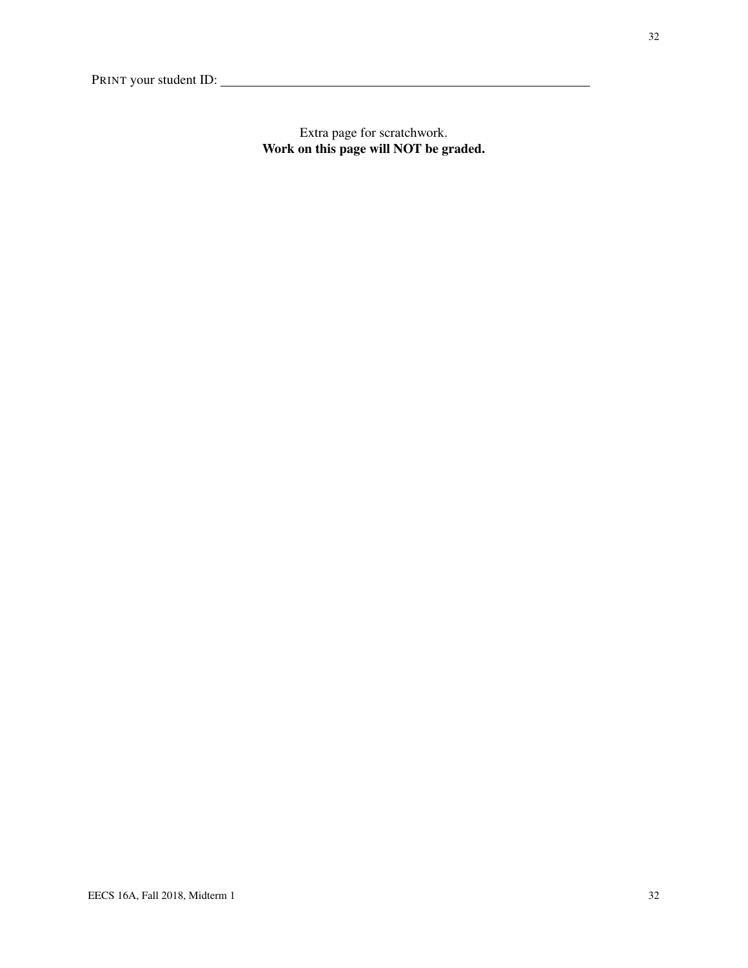Extra page for scratchwork. Work on this page will NOT be graded.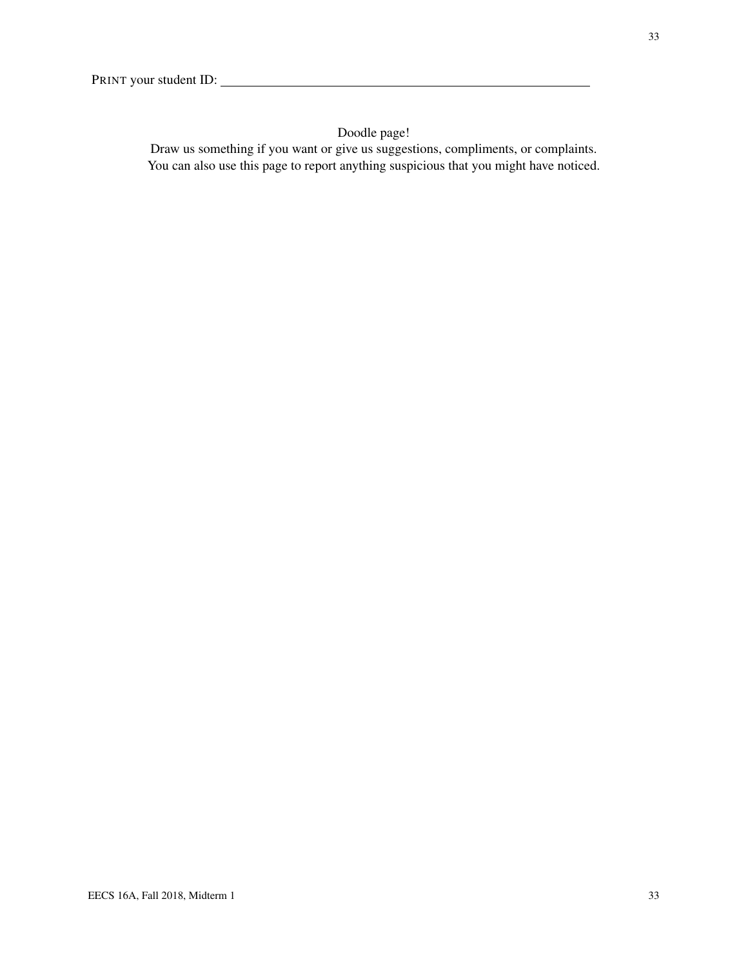## Doodle page!

Draw us something if you want or give us suggestions, compliments, or complaints. You can also use this page to report anything suspicious that you might have noticed.